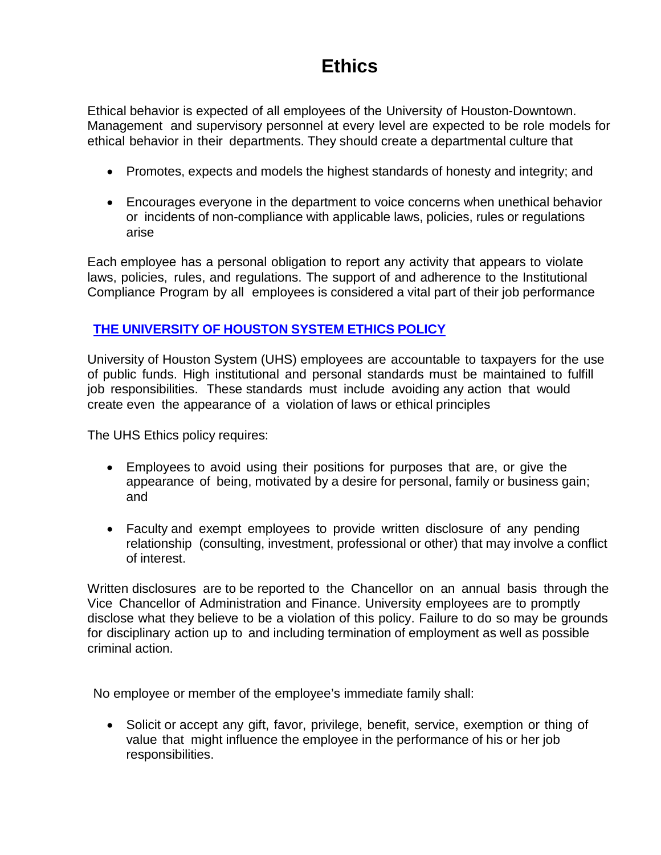## **Ethics**

Ethical behavior is expected of all employees of the University of Houston-Downtown. Management and supervisory personnel at every level are expected to be role models for ethical behavior in their departments. They should create a departmental culture that

- Promotes, expects and models the highest standards of honesty and integrity; and
- Encourages everyone in the department to voice concerns when unethical behavior or incidents of non-compliance with applicable laws, policies, rules or regulations arise

Each employee has a personal obligation to report any activity that appears to violate laws, policies, rules, and regulations. The support of and adherence to the Institutional Compliance Program by all employees is considered a vital part of their job performance

## **THE [UNIVERSITY](https://uhsystem.edu/compliance-ethics/_docs/sam/01/1i1.pdf) OF HOUSTON SYSTEM ETHICS POLICY**

University of Houston System (UHS) employees are accountable to taxpayers for the use of public funds. High institutional and personal standards must be maintained to fulfill job responsibilities. These standards must include avoiding any action that would create even the appearance of a violation of laws or ethical principles

The UHS Ethics policy requires:

- Employees to avoid using their positions for purposes that are, or give the appearance of being, motivated by a desire for personal, family or business gain; and
- Faculty and exempt employees to provide written disclosure of any pending relationship (consulting, investment, professional or other) that may involve a conflict of interest.

Written disclosures are to be reported to the Chancellor on an annual basis through the Vice Chancellor of Administration and Finance. University employees are to promptly disclose what they believe to be a violation of this policy. Failure to do so may be grounds for disciplinary action up to and including termination of employment as well as possible criminal action.

No employee or member of the employee's immediate family shall:

• Solicit or accept any gift, favor, privilege, benefit, service, exemption or thing of value that might influence the employee in the performance of his or her job responsibilities.